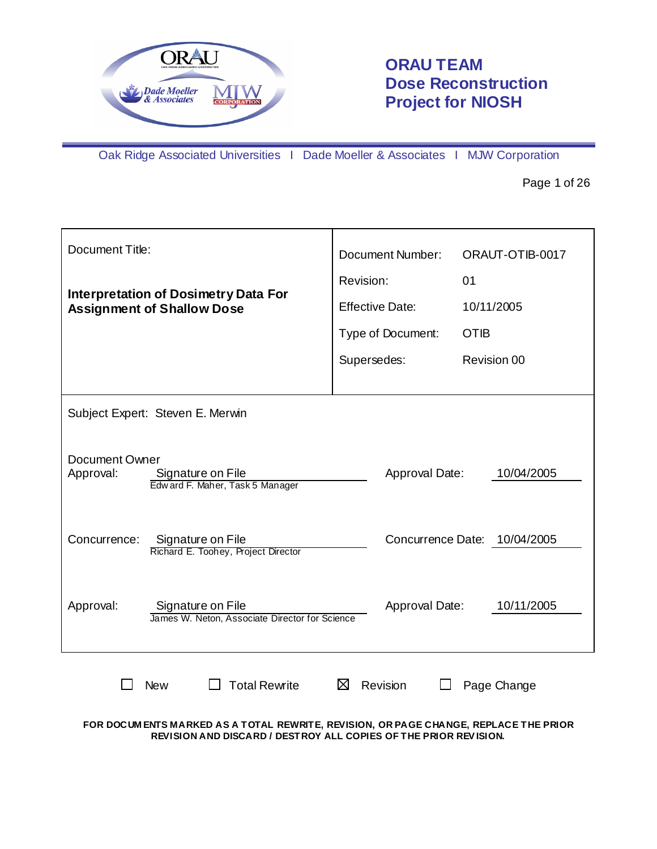

# **ORAU TEAM Dose Reconstruction Project for NIOSH**

Oak Ridge Associated Universities I Dade Moeller & Associates I MJW Corporation

Page 1 of 26

| <b>Document Title:</b>                                                                     |   | Document Number:       | ORAUT-OTIB-0017 |
|--------------------------------------------------------------------------------------------|---|------------------------|-----------------|
|                                                                                            |   | Revision:              | 01              |
| <b>Interpretation of Dosimetry Data For</b><br><b>Assignment of Shallow Dose</b>           |   | <b>Effective Date:</b> | 10/11/2005      |
|                                                                                            |   | Type of Document:      | <b>OTIB</b>     |
|                                                                                            |   | Supersedes:            | Revision 00     |
|                                                                                            |   |                        |                 |
| Subject Expert: Steven E. Merwin                                                           |   |                        |                 |
| <b>Document Owner</b><br>Approval:<br>Signature on File<br>Edward F. Maher, Task 5 Manager |   | Approval Date:         | 10/04/2005      |
| Concurrence:<br>Signature on File<br>Richard E. Toohey, Project Director                   |   | Concurrence Date:      | 10/04/2005      |
| Approval:<br>Signature on File<br>James W. Neton, Associate Director for Science           |   | Approval Date:         | 10/11/2005      |
| <b>Total Rewrite</b><br><b>New</b>                                                         | ⊠ | Revision               | Page Change     |

**FOR DOCUM ENTS MARKED AS A TOTAL REWRITE, REVISION, OR PAGE CHANGE, REPLACE THE PRIOR REVISION AND DISCARD / DESTROY ALL COPIES OF THE PRIOR REV ISION.**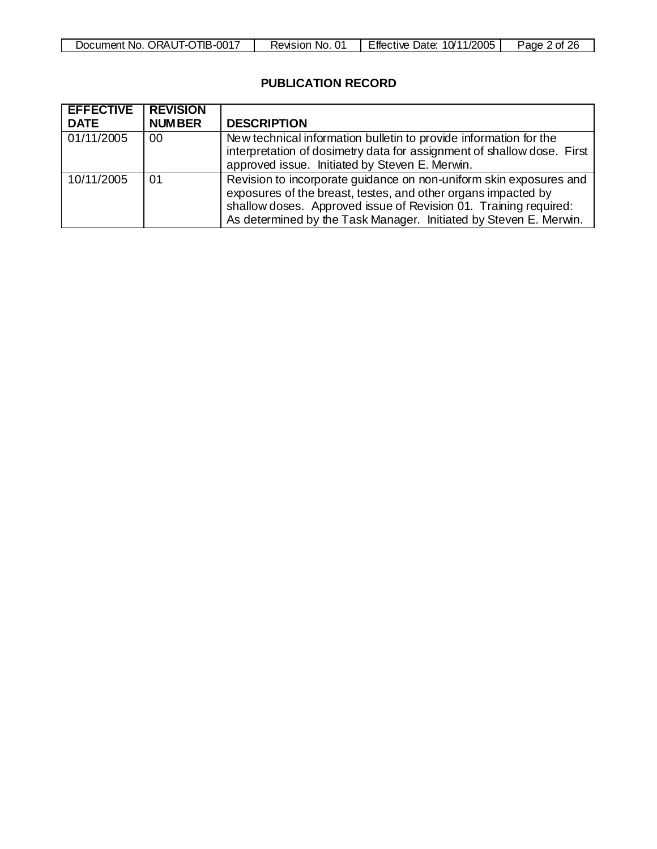| Document No. ORAUT-OTIB-0017 | Revision No. | Effective Date: 10/11/2005 | Page 2 of 26 |
|------------------------------|--------------|----------------------------|--------------|

# **PUBLICATION RECORD**

| <b>EFFECTIVE</b> | <b>I REVISION</b> |                                                                                                                                                                                                                                                                              |
|------------------|-------------------|------------------------------------------------------------------------------------------------------------------------------------------------------------------------------------------------------------------------------------------------------------------------------|
| <b>DATE</b>      | <b>NUMBER</b>     | <b>DESCRIPTION</b>                                                                                                                                                                                                                                                           |
| 01/11/2005       | 00                | New technical information bulletin to provide information for the<br>interpretation of dosimetry data for assignment of shallow dose. First<br>approved issue. Initiated by Steven E. Merwin.                                                                                |
| 10/11/2005       | 01                | Revision to incorporate quidance on non-uniform skin exposures and<br>exposures of the breast, testes, and other organs impacted by<br>shallow doses. Approved issue of Revision 01. Training required:<br>As determined by the Task Manager. Initiated by Steven E. Merwin. |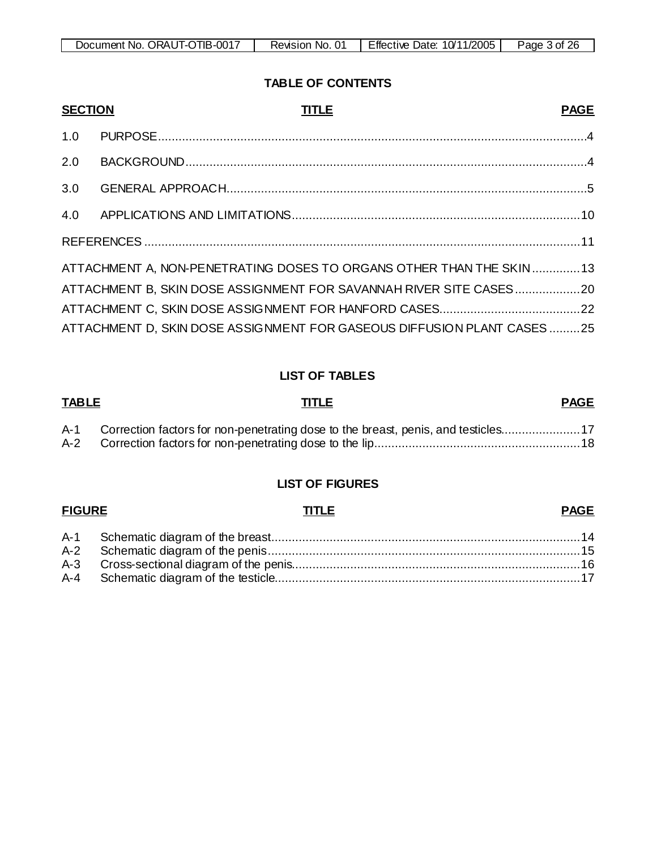| . ORAUT-OTIB-0017<br>Document No. | 01<br>Revision<br>NO. | 10/11/2005<br><b>Effective</b><br>Date: | ጋፍ<br>Page<br>3 of |
|-----------------------------------|-----------------------|-----------------------------------------|--------------------|
|                                   |                       |                                         |                    |

# **TABLE OF CONTENTS**

| <b>SECTION</b> | <b>TITLE</b><br><b>PAGE</b>                                            |  |
|----------------|------------------------------------------------------------------------|--|
| 1.0            |                                                                        |  |
| 2.0            |                                                                        |  |
| 3.0            |                                                                        |  |
|                |                                                                        |  |
|                |                                                                        |  |
|                | ATTACHMENT A, NON-PENETRATING DOSES TO ORGANS OTHER THAN THE SKIN 13   |  |
|                | ATTACHMENT B, SKIN DOSE ASSIGNMENT FOR SAVANNAH RIVER SITE CASES20     |  |
|                |                                                                        |  |
|                | ATTACHMENT D, SKIN DOSE ASSIGNMENT FOR GASEOUS DIFFUSION PLANT CASES25 |  |

# **LIST OF TABLES**

# **TABLE TITLE PAGE** A-1 Correction factors for non-penetrating dose to the breast, penis, and testicles.......................17 A-2 Correction factors for non-penetrating dose to the lip............................................................18

# **LIST OF FIGURES**

## **FIGURE TITLE PAGE**

#### A-1 Schematic diagram of the breast..........................................................................................14 A-2 Schematic diagram of the penis...........................................................................................15 A-3 Cross-sectional diagram of the penis....................................................................................16 A-4 Schematic diagram of the testicle.........................................................................................17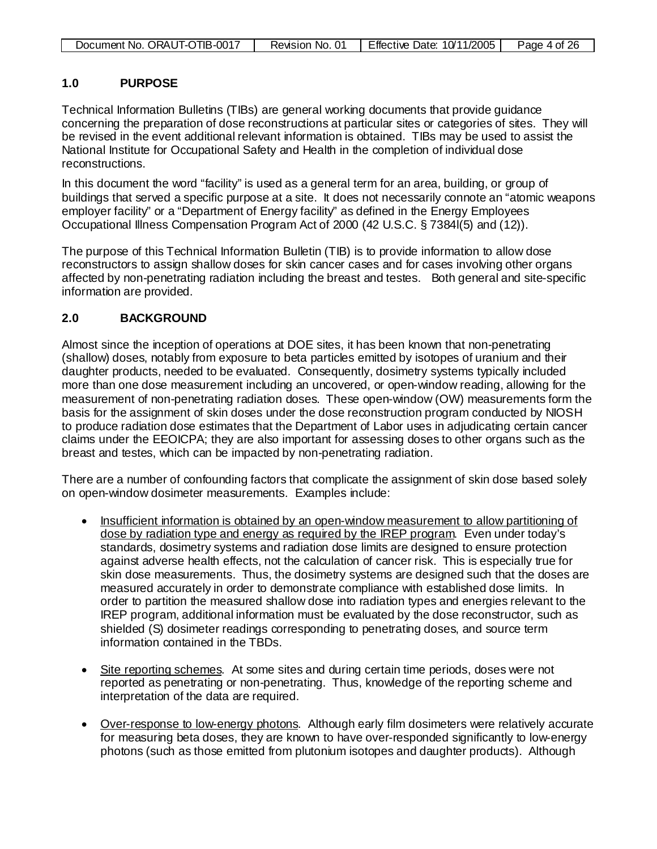|  | Document No. ORAUT-OTIB-0017 | Revision No. 01 | Effective Date: 10/11/2005 | Page 4 of 26 |
|--|------------------------------|-----------------|----------------------------|--------------|
|--|------------------------------|-----------------|----------------------------|--------------|

# **1.0 PURPOSE**

Technical Information Bulletins (TIBs) are general working documents that provide guidance concerning the preparation of dose reconstructions at particular sites or categories of sites. They will be revised in the event additional relevant information is obtained. TIBs may be used to assist the National Institute for Occupational Safety and Health in the completion of individual dose reconstructions.

In this document the word "facility" is used as a general term for an area, building, or group of buildings that served a specific purpose at a site. It does not necessarily connote an "atomic weapons employer facility" or a "Department of Energy facility" as defined in the Energy Employees Occupational Illness Compensation Program Act of 2000 (42 U.S.C. § 7384l(5) and (12)).

The purpose of this Technical Information Bulletin (TIB) is to provide information to allow dose reconstructors to assign shallow doses for skin cancer cases and for cases involving other organs affected by non-penetrating radiation including the breast and testes. Both general and site-specific information are provided.

# **2.0 BACKGROUND**

Almost since the inception of operations at DOE sites, it has been known that non-penetrating (shallow) doses, notably from exposure to beta particles emitted by isotopes of uranium and their daughter products, needed to be evaluated. Consequently, dosimetry systems typically included more than one dose measurement including an uncovered, or open-window reading, allowing for the measurement of non-penetrating radiation doses. These open-window (OW) measurements form the basis for the assignment of skin doses under the dose reconstruction program conducted by NIOSH to produce radiation dose estimates that the Department of Labor uses in adjudicating certain cancer claims under the EEOICPA; they are also important for assessing doses to other organs such as the breast and testes, which can be impacted by non-penetrating radiation.

There are a number of confounding factors that complicate the assignment of skin dose based solely on open-window dosimeter measurements. Examples include:

- Insufficient information is obtained by an open-window measurement to allow partitioning of dose by radiation type and energy as required by the IREP program . Even under today's standards, dosimetry systems and radiation dose limits are designed to ensure protection against adverse health effects, not the calculation of cancer risk. This is especially true for skin dose measurements. Thus, the dosimetry systems are designed such that the doses are measured accurately in order to demonstrate compliance with established dose limits. In order to partition the measured shallow dose into radiation types and energies relevant to the IREP program, additional information must be evaluated by the dose reconstructor, such as shielded (S) dosimeter readings corresponding to penetrating doses, and source term information contained in the TBDs.
- Site reporting schemes. At some sites and during certain time periods, doses were not reported as penetrating or non-penetrating. Thus, knowledge of the reporting scheme and interpretation of the data are required.
- Over-response to low-energy photons. Although early film dosimeters were relatively accurate for measuring beta doses, they are known to have over-responded significantly to low-energy photons (such as those emitted from plutonium isotopes and daughter products). Although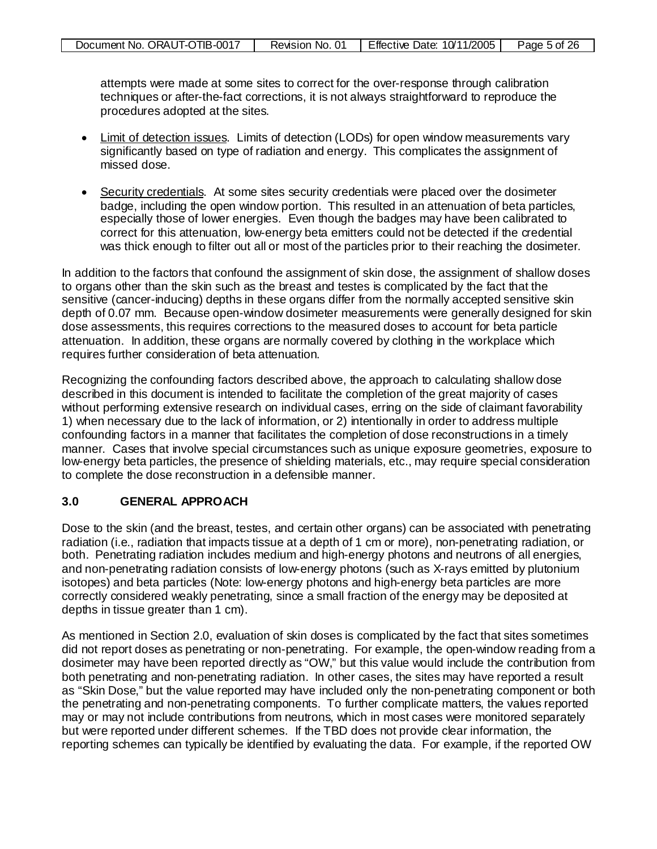| Document No. ORAUT-OTIB-0017 | Revision No. 0. | Effective Date: 10/11/2005 | Page 5 of 26 |
|------------------------------|-----------------|----------------------------|--------------|
|------------------------------|-----------------|----------------------------|--------------|

attempts were made at some sites to correct for the over-response through calibration techniques or after-the-fact corrections, it is not always straightforward to reproduce the procedures adopted at the sites.

- Limit of detection issues. Limits of detection (LODs) for open window measurements vary significantly based on type of radiation and energy. This complicates the assignment of missed dose.
- Security credentials. At some sites security credentials were placed over the dosimeter badge, including the open window portion. This resulted in an attenuation of beta particles, especially those of lower energies. Even though the badges may have been calibrated to correct for this attenuation, low-energy beta emitters could not be detected if the credential was thick enough to filter out all or most of the particles prior to their reaching the dosimeter.

In addition to the factors that confound the assignment of skin dose, the assignment of shallow doses to organs other than the skin such as the breast and testes is complicated by the fact that the sensitive (cancer-inducing) depths in these organs differ from the normally accepted sensitive skin depth of 0.07 mm. Because open-window dosimeter measurements were generally designed for skin dose assessments, this requires corrections to the measured doses to account for beta particle attenuation. In addition, these organs are normally covered by clothing in the workplace which requires further consideration of beta attenuation.

Recognizing the confounding factors described above, the approach to calculating shallow dose described in this document is intended to facilitate the completion of the great majority of cases without performing extensive research on individual cases, erring on the side of claimant favorability 1) when necessary due to the lack of information, or 2) intentionally in order to address multiple confounding factors in a manner that facilitates the completion of dose reconstructions in a timely manner. Cases that involve special circumstances such as unique exposure geometries, exposure to low-energy beta particles, the presence of shielding materials, etc., may require special consideration to complete the dose reconstruction in a defensible manner.

# **3.0 GENERAL APPROACH**

Dose to the skin (and the breast, testes, and certain other organs) can be associated with penetrating radiation (i.e., radiation that impacts tissue at a depth of 1 cm or more), non-penetrating radiation, or both. Penetrating radiation includes medium and high-energy photons and neutrons of all energies, and non-penetrating radiation consists of low-energy photons (such as X-rays emitted by plutonium isotopes) and beta particles (Note: low-energy photons and high-energy beta particles are more correctly considered weakly penetrating, since a small fraction of the energy may be deposited at depths in tissue greater than 1 cm).

As mentioned in Section 2.0, evaluation of skin doses is complicated by the fact that sites sometimes did not report doses as penetrating or non-penetrating. For example, the open-window reading from a dosimeter may have been reported directly as "OW," but this value would include the contribution from both penetrating and non-penetrating radiation. In other cases, the sites may have reported a result as "Skin Dose," but the value reported may have included only the non-penetrating component or both the penetrating and non-penetrating components. To further complicate matters, the values reported may or may not include contributions from neutrons, which in most cases were monitored separately but were reported under different schemes. If the TBD does not provide clear information, the reporting schemes can typically be identified by evaluating the data. For example, if the reported OW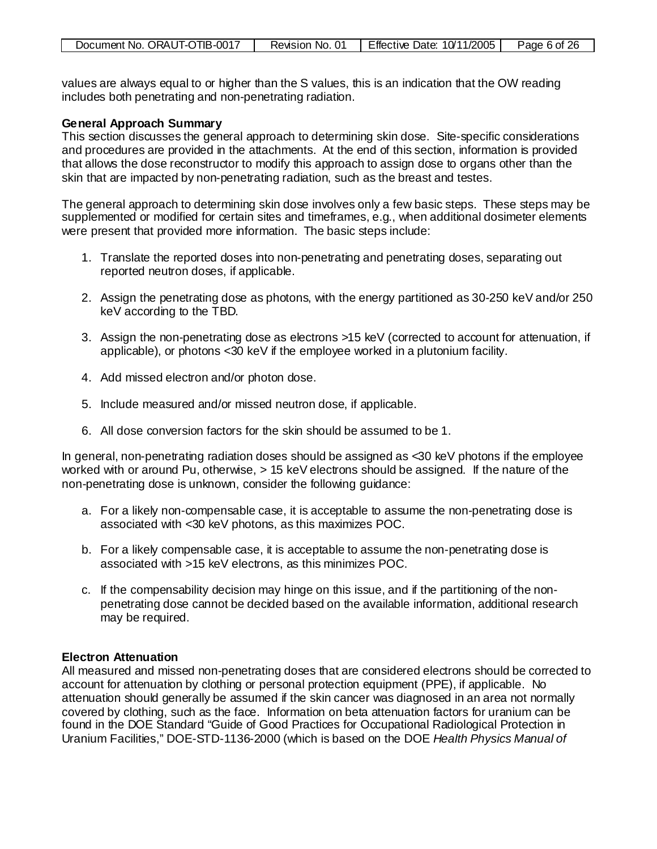|--|

values are always equal to or higher than the S values, this is an indication that the OW reading includes both penetrating and non-penetrating radiation.

#### **General Approach Summary**

This section discusses the general approach to determining skin dose. Site-specific considerations and procedures are provided in the attachments. At the end of this section, information is provided that allows the dose reconstructor to modify this approach to assign dose to organs other than the skin that are impacted by non-penetrating radiation, such as the breast and testes.

The general approach to determining skin dose involves only a few basic steps. These steps may be supplemented or modified for certain sites and timeframes, e.g., when additional dosimeter elements were present that provided more information. The basic steps include:

- 1. Translate the reported doses into non-penetrating and penetrating doses, separating out reported neutron doses, if applicable.
- 2. Assign the penetrating dose as photons, with the energy partitioned as 30-250 keV and/or 250 keV according to the TBD.
- 3. Assign the non-penetrating dose as electrons >15 keV (corrected to account for attenuation, if applicable), or photons <30 keV if the employee worked in a plutonium facility.
- 4. Add missed electron and/or photon dose.
- 5. Include measured and/or missed neutron dose, if applicable.
- 6. All dose conversion factors for the skin should be assumed to be 1.

In general, non-penetrating radiation doses should be assigned as <30 keV photons if the employee worked with or around Pu, otherwise, > 15 keV electrons should be assigned. If the nature of the non-penetrating dose is unknown, consider the following guidance:

- a. For a likely non-compensable case, it is acceptable to assume the non-penetrating dose is associated with <30 keV photons, as this maximizes POC.
- b. For a likely compensable case, it is acceptable to assume the non-penetrating dose is associated with >15 keV electrons, as this minimizes POC.
- c. If the compensability decision may hinge on this issue, and if the partitioning of the nonpenetrating dose cannot be decided based on the available information, additional research may be required.

#### **Electron Attenuation**

All measured and missed non-penetrating doses that are considered electrons should be corrected to account for attenuation by clothing or personal protection equipment (PPE), if applicable. No attenuation should generally be assumed if the skin cancer was diagnosed in an area not normally covered by clothing, such as the face. Information on beta attenuation factors for uranium can be found in the DOE Standard "Guide of Good Practices for Occupational Radiological Protection in Uranium Facilities," DOE-STD-1136-2000 (which is based on the DOE *Health Physics Manual of*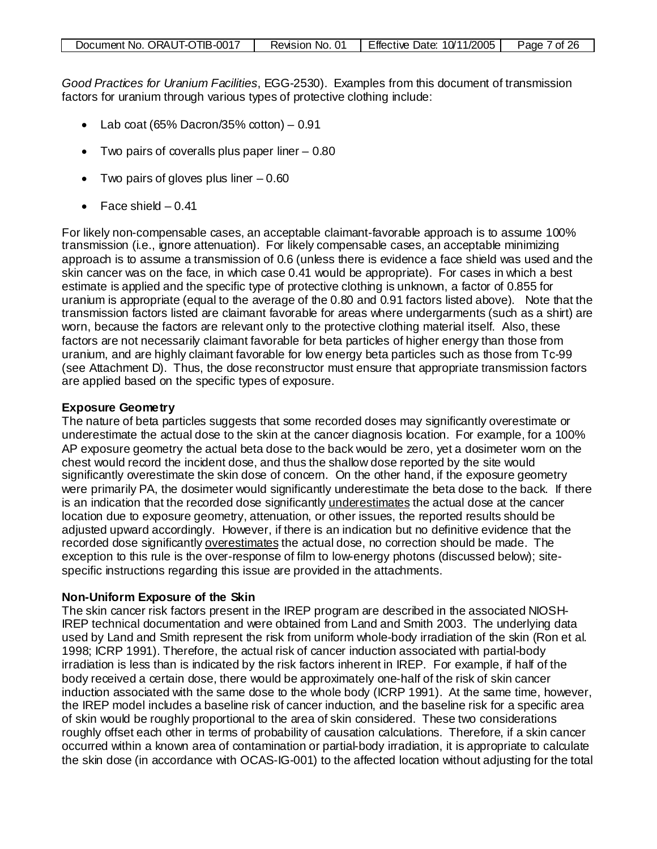|--|

*Good Practices for Uranium Facilities*, EGG-2530). Examples from this document of transmission factors for uranium through various types of protective clothing include:

- Lab  $\cot(65\% \text{ Dacron}/35\% \text{ co}tton) 0.91$
- Two pairs of coveralls plus paper liner 0.80
- Two pairs of gloves plus liner  $-0.60$
- Face shield  $-0.41$

For likely non-compensable cases, an acceptable claimant-favorable approach is to assume 100% transmission (i.e., ignore attenuation). For likely compensable cases, an acceptable minimizing approach is to assume a transmission of 0.6 (unless there is evidence a face shield was used and the skin cancer was on the face, in which case 0.41 would be appropriate). For cases in which a best estimate is applied and the specific type of protective clothing is unknown, a factor of 0.855 for uranium is appropriate (equal to the average of the 0.80 and 0.91 factors listed above). Note that the transmission factors listed are claimant favorable for areas where undergarments (such as a shirt) are worn, because the factors are relevant only to the protective clothing material itself. Also, these factors are not necessarily claimant favorable for beta particles of higher energy than those from uranium, and are highly claimant favorable for low energy beta particles such as those from Tc-99 (see Attachment D). Thus, the dose reconstructor must ensure that appropriate transmission factors are applied based on the specific types of exposure.

#### **Exposure Geometry**

The nature of beta particles suggests that some recorded doses may significantly overestimate or underestimate the actual dose to the skin at the cancer diagnosis location. For example, for a 100% AP exposure geometry the actual beta dose to the back would be zero, yet a dosimeter worn on the chest would record the incident dose, and thus the shallow dose reported by the site would significantly overestimate the skin dose of concern. On the other hand, if the exposure geometry were primarily PA, the dosimeter would significantly underestimate the beta dose to the back. If there is an indication that the recorded dose significantly underestimates the actual dose at the cancer location due to exposure geometry, attenuation, or other issues, the reported results should be adjusted upward accordingly. However, if there is an indication but no definitive evidence that the recorded dose significantly overestimates the actual dose, no correction should be made. The exception to this rule is the over-response of film to low-energy photons (discussed below); sitespecific instructions regarding this issue are provided in the attachments.

#### **Non-Uniform Exposure of the Skin**

The skin cancer risk factors present in the IREP program are described in the associated NIOSH-IREP technical documentation and were obtained from Land and Smith 2003. The underlying data used by Land and Smith represent the risk from uniform whole-body irradiation of the skin (Ron et al. 1998; ICRP 1991). Therefore, the actual risk of cancer induction associated with partial-body irradiation is less than is indicated by the risk factors inherent in IREP. For example, if half of the body received a certain dose, there would be approximately one-half of the risk of skin cancer induction associated with the same dose to the whole body (ICRP 1991). At the same time, however, the IREP model includes a baseline risk of cancer induction, and the baseline risk for a specific area of skin would be roughly proportional to the area of skin considered. These two considerations roughly offset each other in terms of probability of causation calculations. Therefore, if a skin cancer occurred within a known area of contamination or partial-body irradiation, it is appropriate to calculate the skin dose (in accordance with OCAS-IG-001) to the affected location without adjusting for the total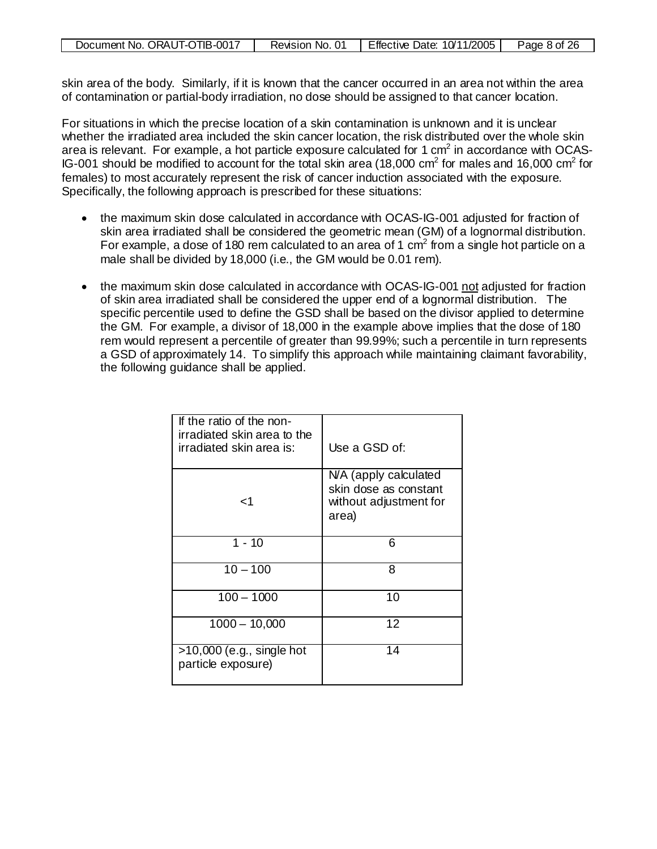| Document No. ORAUT-OTIB-0017 | Revision No. 01 | Effective Date: 10/11/2005 | Page 8 of 26 |
|------------------------------|-----------------|----------------------------|--------------|
|------------------------------|-----------------|----------------------------|--------------|

skin area of the body. Similarly, if it is known that the cancer occurred in an area not within the area of contamination or partial-body irradiation, no dose should be assigned to that cancer location.

For situations in which the precise location of a skin contamination is unknown and it is unclear whether the irradiated area included the skin cancer location, the risk distributed over the whole skin area is relevant. For example, a hot particle exposure calculated for 1  $\text{cm}^2$  in accordance with OCAS-IG-001 should be modified to account for the total skin area (18,000 cm<sup>2</sup> for males and 16,000 cm<sup>2</sup> for females) to most accurately represent the risk of cancer induction associated with the exposure. Specifically, the following approach is prescribed for these situations:

- the maximum skin dose calculated in accordance with OCAS-IG-001 adjusted for fraction of skin area irradiated shall be considered the geometric mean (GM) of a lognormal distribution. For example, a dose of 180 rem calculated to an area of 1 cm<sup>2</sup> from a single hot particle on a male shall be divided by 18,000 (i.e., the GM would be 0.01 rem).
- the maximum skin dose calculated in accordance with OCAS-IG-001 not adjusted for fraction of skin area irradiated shall be considered the upper end of a lognormal distribution. The specific percentile used to define the GSD shall be based on the divisor applied to determine the GM. For example, a divisor of 18,000 in the example above implies that the dose of 180 rem would represent a percentile of greater than 99.99%; such a percentile in turn represents a GSD of approximately 14. To simplify this approach while maintaining claimant favorability, the following guidance shall be applied.

| If the ratio of the non-<br>irradiated skin area to the<br>irradiated skin area is: | Use a GSD of:                                                                     |
|-------------------------------------------------------------------------------------|-----------------------------------------------------------------------------------|
| ا>                                                                                  | N/A (apply calculated<br>skin dose as constant<br>without adjustment for<br>area) |
| $1 - 10$                                                                            | 6                                                                                 |
| $10 - 100$                                                                          | 8                                                                                 |
| $100 - 1000$                                                                        | 10                                                                                |
| $1000 - 10,000$                                                                     | 12                                                                                |
| $\overline{>10,000}$ (e.g., single hot<br>particle exposure)                        | 14                                                                                |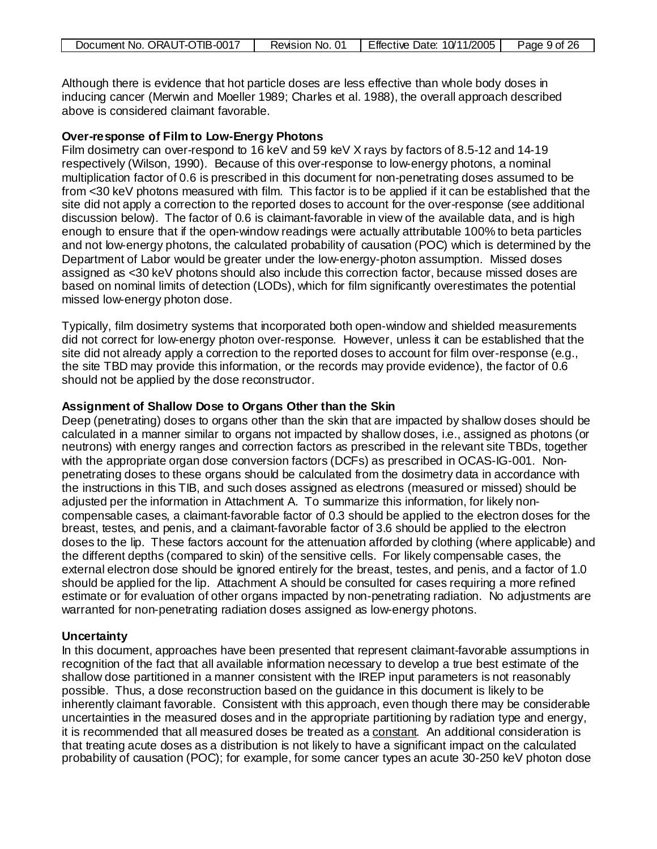| Document No. ORAUT-OTIB-0017 | Revision No. 01 | Effective Date: 10/11/2005 | Page 9 of 26 |
|------------------------------|-----------------|----------------------------|--------------|
|------------------------------|-----------------|----------------------------|--------------|

Although there is evidence that hot particle doses are less effective than whole body doses in inducing cancer (Merwin and Moeller 1989; Charles et al. 1988), the overall approach described above is considered claimant favorable.

#### **Over-response of Film to Low-Energy Photons**

Film dosimetry can over-respond to 16 keV and 59 keV X rays by factors of 8.5-12 and 14-19 respectively (Wilson, 1990). Because of this over-response to low-energy photons, a nominal multiplication factor of 0.6 is prescribed in this document for non-penetrating doses assumed to be from <30 keV photons measured with film. This factor is to be applied if it can be established that the site did not apply a correction to the reported doses to account for the over-response (see additional discussion below). The factor of 0.6 is claimant-favorable in view of the available data, and is high enough to ensure that if the open-window readings were actually attributable 100% to beta particles and not low-energy photons, the calculated probability of causation (POC) which is determined by the Department of Labor would be greater under the low-energy-photon assumption. Missed doses assigned as <30 keV photons should also include this correction factor, because missed doses are based on nominal limits of detection (LODs), which for film significantly overestimates the potential missed low-energy photon dose.

Typically, film dosimetry systems that incorporated both open-window and shielded measurements did not correct for low-energy photon over-response. However, unless it can be established that the site did not already apply a correction to the reported doses to account for film over-response (e.g., the site TBD may provide this information, or the records may provide evidence), the factor of 0.6 should not be applied by the dose reconstructor.

#### **Assignment of Shallow Dose to Organs Other than the Skin**

Deep (penetrating) doses to organs other than the skin that are impacted by shallow doses should be calculated in a manner similar to organs not impacted by shallow doses, i.e., assigned as photons (or neutrons) with energy ranges and correction factors as prescribed in the relevant site TBDs, together with the appropriate organ dose conversion factors (DCFs) as prescribed in OCAS-IG-001. Nonpenetrating doses to these organs should be calculated from the dosimetry data in accordance with the instructions in this TIB, and such doses assigned as electrons (measured or missed) should be adjusted per the information in Attachment A. To summarize this information, for likely noncompensable cases, a claimant-favorable factor of 0.3 should be applied to the electron doses for the breast, testes, and penis, and a claimant-favorable factor of 3.6 should be applied to the electron doses to the lip. These factors account for the attenuation afforded by clothing (where applicable) and the different depths (compared to skin) of the sensitive cells. For likely compensable cases, the external electron dose should be ignored entirely for the breast, testes, and penis, and a factor of 1.0 should be applied for the lip. Attachment A should be consulted for cases requiring a more refined estimate or for evaluation of other organs impacted by non-penetrating radiation. No adjustments are warranted for non-penetrating radiation doses assigned as low-energy photons.

## **Uncertainty**

In this document, approaches have been presented that represent claimant-favorable assumptions in recognition of the fact that all available information necessary to develop a true best estimate of the shallow dose partitioned in a manner consistent with the IREP input parameters is not reasonably possible. Thus, a dose reconstruction based on the guidance in this document is likely to be inherently claimant favorable. Consistent with this approach, even though there may be considerable uncertainties in the measured doses and in the appropriate partitioning by radiation type and energy, it is recommended that all measured doses be treated as a constant. An additional consideration is that treating acute doses as a distribution is not likely to have a significant impact on the calculated probability of causation (POC); for example, for some cancer types an acute 30-250 keV photon dose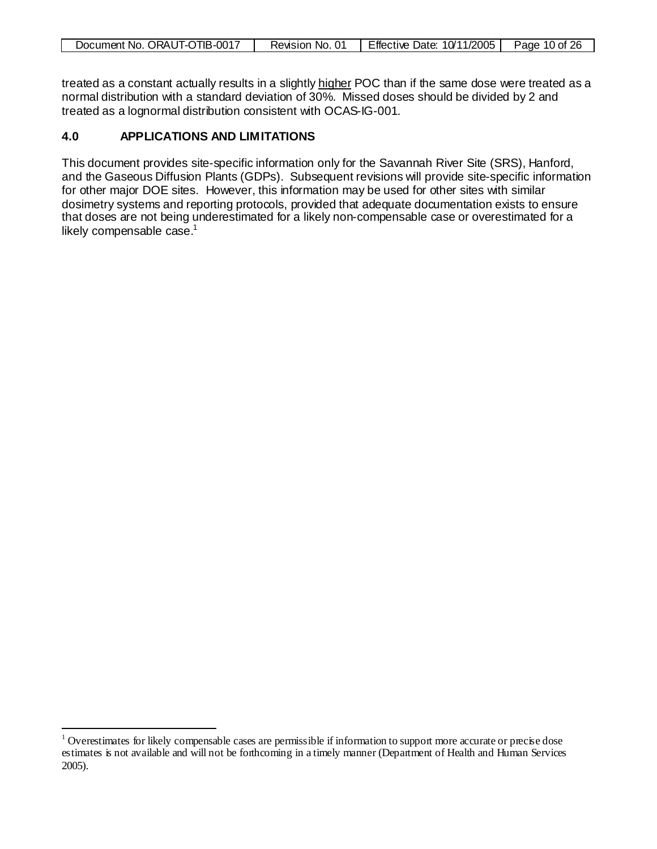| Document No. ORAUT-OTIB-0017 | Revision No. 01 | Effective Date: $10/11/2005$ | Page 10 of 26 |
|------------------------------|-----------------|------------------------------|---------------|
|                              |                 |                              |               |

treated as a constant actually results in a slightly <u>higher</u> POC than if the same dose were treated as a normal distribution with a standard deviation of 30%. Missed doses should be divided by 2 and treated as a lognormal distribution consistent with OCAS-IG-001.

# **4.0 APPLICATIONS AND LIMITATIONS**

This document provides site-specific information only for the Savannah River Site (SRS), Hanford, and the Gaseous Diffusion Plants (GDPs). Subsequent revisions will provide site-specific information for other major DOE sites. However, this information may be used for other sites with similar dosimetry systems and reporting protocols, provided that adequate documentation exists to ensure that doses are not being underestimated for a likely non-compensable case or overestimated for a likely compensable case. $1$ 

<span id="page-9-0"></span><sup>&</sup>lt;sup>1</sup> Overestimates for likely compensable cases are permissible if information to support more accurate or precise dose estimates is not available and will not be forthcoming in a timely manner (Department of Health and Human Services 2005).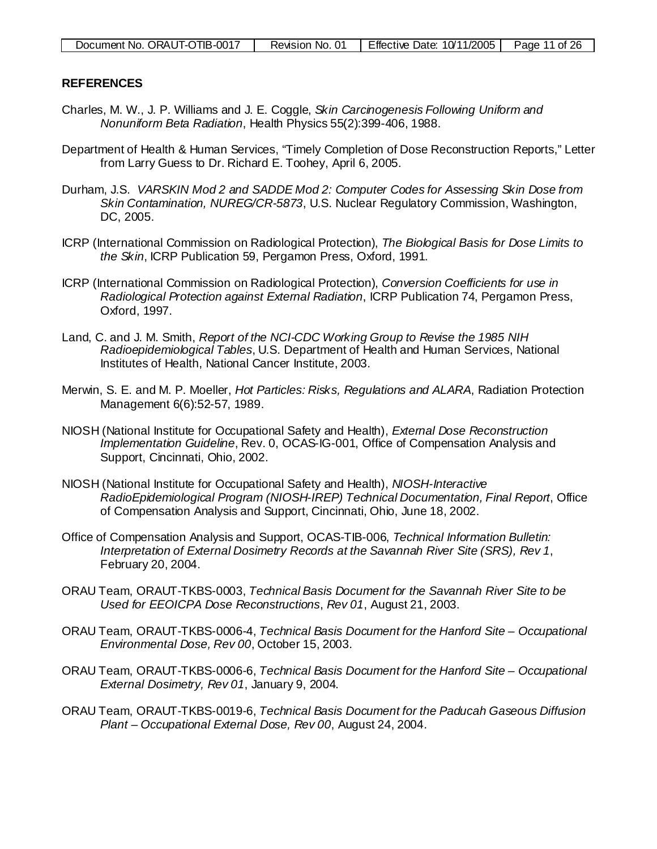#### **REFERENCES**

- Charles, M. W., J. P. Williams and J. E. Coggle, *Skin Carcinogenesis Following Uniform and Nonuniform Beta Radiation*, Health Physics 55(2):399-406, 1988.
- Department of Health & Human Services, "Timely Completion of Dose Reconstruction Reports," Letter from Larry Guess to Dr. Richard E. Toohey, April 6, 2005.
- Durham, J.S. *VARSKIN Mod 2 and SADDE Mod 2: Computer Codes for Assessing Skin Dose from Skin Contamination, NUREG/CR-5873*, U.S. Nuclear Regulatory Commission, Washington, DC, 2005.
- ICRP (International Commission on Radiological Protection), *The Biological Basis for Dose Limits to the Skin*, ICRP Publication 59, Pergamon Press, Oxford, 1991.
- ICRP (International Commission on Radiological Protection), *Conversion Coefficients for use in Radiological Protection against External Radiation*, ICRP Publication 74, Pergamon Press, Oxford, 1997.
- Land, C. and J. M. Smith, *Report of the NCI-CDC Working Group to Revise the 1985 NIH Radioepidemiological Tables*, U.S. Department of Health and Human Services, National Institutes of Health, National Cancer Institute, 2003.
- Merwin, S. E. and M. P. Moeller, *Hot Particles: Risks, Regulations and ALARA*, Radiation Protection Management 6(6):52-57, 1989.
- NIOSH (National Institute for Occupational Safety and Health), *External Dose Reconstruction Implementation Guideline*, Rev. 0, OCAS-IG-001, Office of Compensation Analysis and Support, Cincinnati, Ohio, 2002.
- NIOSH (National Institute for Occupational Safety and Health), *NIOSH-Interactive RadioEpidemiological Program (NIOSH-IREP) Technical Documentation, Final Report*, Office of Compensation Analysis and Support, Cincinnati, Ohio, June 18, 2002.
- Office of Compensation Analysis and Support, OCAS-TIB-006, *Technical Information Bulletin: Interpretation of External Dosimetry Records at the Savannah River Site (SRS), Rev 1*, February 20, 2004.
- ORAU Team, ORAUT-TKBS-0003, *Technical Basis Document for the Savannah River Site to be Used for EEOICPA Dose Reconstructions*, *Rev 01*, August 21, 2003.
- ORAU Team, ORAUT-TKBS-0006-4, *Technical Basis Document for the Hanford Site – Occupational Environmental Dose, Rev 00*, October 15, 2003.
- ORAU Team, ORAUT-TKBS-0006-6, *Technical Basis Document for the Hanford Site – Occupational External Dosimetry, Rev 01*, January 9, 2004.
- ORAU Team, ORAUT-TKBS-0019-6, *Technical Basis Document for the Paducah Gaseous Diffusion Plant – Occupational External Dose, Rev 00*, August 24, 2004.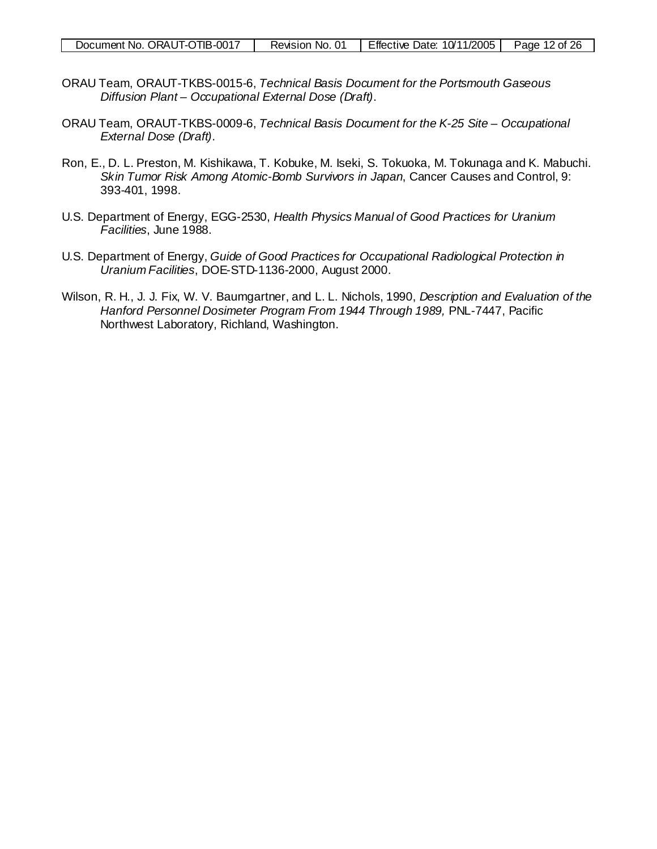| Document No. ORAUT-OTIB-0017 | Revision No. 01 | I Effective Date: 10/11/2005 | Page 12 of 26 |
|------------------------------|-----------------|------------------------------|---------------|
|                              |                 |                              |               |

- ORAU Team, ORAUT-TKBS-0015-6, *Technical Basis Document for the Portsmouth Gaseous Diffusion Plant – Occupational External Dose (Draft)*.
- ORAU Team, ORAUT-TKBS-0009-6, *Technical Basis Document for the K-25 Site – Occupational External Dose (Draft)*.
- Ron, E., D. L. Preston, M. Kishikawa, T. Kobuke, M. Iseki, S. Tokuoka, M. Tokunaga and K. Mabuchi. *Skin Tumor Risk Among Atomic-Bomb Survivors in Japan*, Cancer Causes and Control, 9: 393-401, 1998.
- U.S. Department of Energy, EGG-2530, *Health Physics Manual of Good Practices for Uranium Facilities*, June 1988.
- U.S. Department of Energy, *Guide of Good Practices for Occupational Radiological Protection in Uranium Facilities*, DOE-STD-1136-2000, August 2000.
- Wilson, R. H., J. J. Fix, W. V. Baumgartner, and L. L. Nichols, 1990, *Description and Evaluation of the*  Hanford Personnel Dosimeter Program From 1944 Through 1989, PNL-7447, Pacific Northwest Laboratory, Richland, Washington.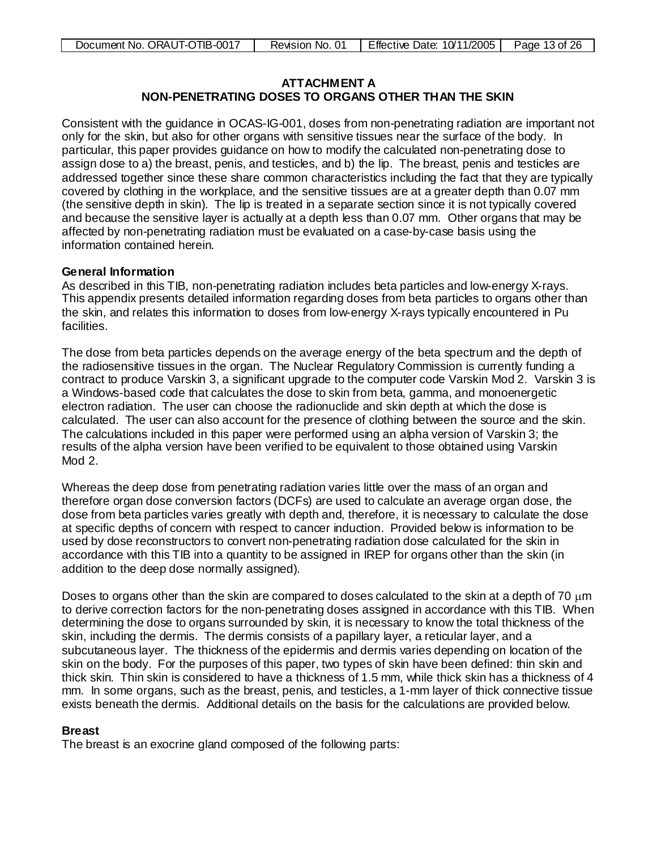# <span id="page-12-0"></span>**ATTACHMENT A**

# **NON-PENETRATING DOSES TO ORGANS OTHER THAN THE SKIN**

Consistent with the guidance in OCAS-IG-001, doses from non-penetrating radiation are important not only for the skin, but also for other organs with sensitive tissues near the surface of the body. In particular, this paper provides guidance on how to modify the calculated non-penetrating dose to assign dose to a) the breast, penis, and testicles, and b) the lip. The breast, penis and testicles are addressed together since these share common characteristics including the fact that they are typically covered by clothing in the workplace, and the sensitive tissues are at a greater depth than 0.07 mm (the sensitive depth in skin). The lip is treated in a separate section since it is not typically covered and because the sensitive layer is actually at a depth less than 0.07 mm. Other organs that may be affected by non-penetrating radiation must be evaluated on a case-by-case basis using the information contained herein.

#### **General Information**

As described in this TIB, non-penetrating radiation includes beta particles and low-energy X-rays. This appendix presents detailed information regarding doses from beta particles to organs other than the skin, and relates this information to doses from low-energy X-rays typically encountered in Pu facilities.

The dose from beta particles depends on the average energy of the beta spectrum and the depth of the radiosensitive tissues in the organ. The Nuclear Regulatory Commission is currently funding a contract to produce Varskin 3, a significant upgrade to the computer code Varskin Mod 2. Varskin 3 is a Windows-based code that calculates the dose to skin from beta, gamma, and monoenergetic electron radiation. The user can choose the radionuclide and skin depth at which the dose is calculated. The user can also account for the presence of clothing between the source and the skin. The calculations included in this paper were performed using an alpha version of Varskin 3; the results of the alpha version have been verified to be equivalent to those obtained using Varskin Mod 2.

Whereas the deep dose from penetrating radiation varies little over the mass of an organ and therefore organ dose conversion factors (DCFs) are used to calculate an average organ dose, the dose from beta particles varies greatly with depth and, therefore, it is necessary to calculate the dose at specific depths of concern with respect to cancer induction. Provided below is information to be used by dose reconstructors to convert non-penetrating radiation dose calculated for the skin in accordance with this TIB into a quantity to be assigned in IREP for organs other than the skin (in addition to the deep dose normally assigned).

Doses to organs other than the skin are compared to doses calculated to the skin at a depth of 70  $\mu$ m to derive correction factors for the non-penetrating doses assigned in accordance with this TIB. When determining the dose to organs surrounded by skin, it is necessary to know the total thickness of the skin, including the dermis. The dermis consists of a papillary layer, a reticular layer, and a subcutaneous layer. The thickness of the epidermis and dermis varies depending on location of the skin on the body. For the purposes of this paper, two types of skin have been defined: thin skin and thick skin. Thin skin is considered to have a thickness of 1.5 mm, while thick skin has a thickness of 4 mm. In some organs, such as the breast, penis, and testicles, a 1-mm layer of thick connective tissue exists beneath the dermis. Additional details on the basis for the calculations are provided below.

## **Breast**

The breast is an exocrine gland composed of the following parts: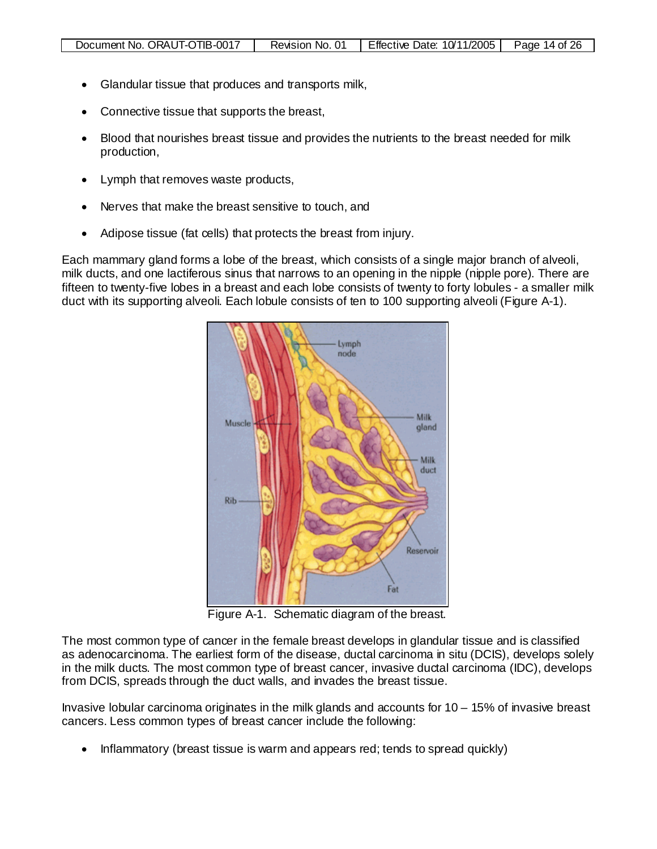- Glandular tissue that produces and transports milk,
- Connective tissue that supports the breast,
- Blood that nourishes breast tissue and provides the nutrients to the breast needed for milk production,
- Lymph that removes waste products,
- Nerves that make the breast sensitive to touch, and
- Adipose tissue (fat cells) that protects the breast from injury.

Each mammary gland forms a lobe of the breast, which consists of a single major branch of alveoli, milk ducts, and one lactiferous sinus that narrows to an opening in the nipple (nipple pore). There are fifteen to twenty-five lobes in a breast and each lobe consists of twenty to forty lobules - a smaller milk duct with its supporting alveoli. Each lobule consists of ten to 100 supporting alveoli (Figure A-1).



Figure A-1. Schematic diagram of the breast.

The most common type of cancer in the female breast develops in glandular tissue and is classified as adenocarcinoma. The earliest form of the disease, ductal carcinoma in situ (DCIS), develops solely in the milk ducts. The most common type of breast cancer, invasive ductal carcinoma (IDC), develops from DCIS, spreads through the duct walls, and invades the breast tissue.

Invasive lobular carcinoma originates in the milk glands and accounts for 10 – 15% of invasive breast cancers. Less common types of breast cancer include the following:

• Inflammatory (breast tissue is warm and appears red; tends to spread quickly)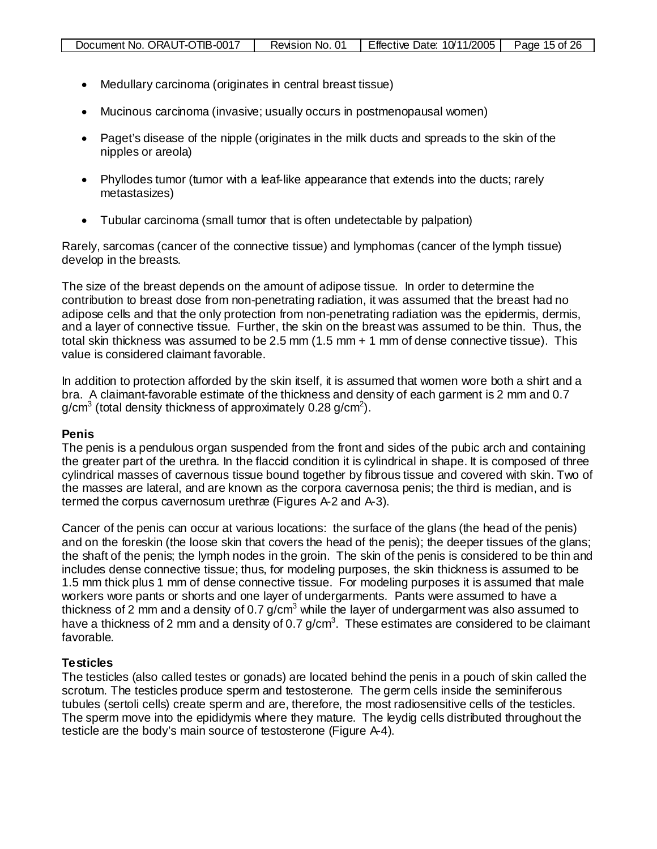- Medullary carcinoma (originates in central breast tissue)
- Mucinous carcinoma (invasive; usually occurs in postmenopausal women)
- Paget's disease of the nipple (originates in the milk ducts and spreads to the skin of the nipples or areola)
- Phyllodes tumor (tumor with a leaf-like appearance that extends into the ducts; rarely metastasizes)
- Tubular carcinoma (small tumor that is often undetectable by palpation)

Rarely, sarcomas (cancer of the connective tissue) and lymphomas (cancer of the lymph tissue) develop in the breasts.

The size of the breast depends on the amount of adipose tissue. In order to determine the contribution to breast dose from non-penetrating radiation, it was assumed that the breast had no adipose cells and that the only protection from non-penetrating radiation was the epidermis, dermis, and a layer of connective tissue. Further, the skin on the breast was assumed to be thin. Thus, the total skin thickness was assumed to be 2.5 mm (1.5 mm + 1 mm of dense connective tissue). This value is considered claimant favorable.

In addition to protection afforded by the skin itself, it is assumed that women wore both a shirt and a bra. A claimant-favorable estimate of the thickness and density of each garment is 2 mm and 0.7 g/cm $^3$  (total density thickness of approximately 0.28 g/cm $^2$ ).

#### **Penis**

The penis is a pendulous organ suspended from the front and sides of the pubic arch and containing the greater part of the urethra. In the flaccid condition it is cylindrical in shape. It is composed of three cylindrical masses of cavernous tissue bound together by fibrous tissue and covered with skin. Two of the masses are lateral, and are known as the corpora cavernosa penis; the third is median, and is termed the corpus cavernosum urethræ (Figures A-2 and A-3).

Cancer of the penis can occur at various locations: the surface of the glans (the head of the penis) and on the foreskin (the loose skin that covers the head of the penis); the deeper tissues of the glans; the shaft of the penis; the lymph nodes in the groin. The skin of the penis is considered to be thin and includes dense connective tissue; thus, for modeling purposes, the skin thickness is assumed to be 1.5 mm thick plus 1 mm of dense connective tissue. For modeling purposes it is assumed that male workers wore pants or shorts and one layer of undergarments. Pants were assumed to have a thickness of 2 mm and a density of 0.7  $g/cm<sup>3</sup>$  while the layer of undergarment was also assumed to have a thickness of 2 mm and a density of 0.7 g/cm<sup>3</sup>. These estimates are considered to be claimant favorable.

#### **Testicles**

The testicles (also called testes or gonads) are located behind the penis in a pouch of skin called the scrotum. The testicles produce sperm and testosterone. The germ cells inside the seminiferous tubules (sertoli cells) create sperm and are, therefore, the most radiosensitive cells of the testicles. The sperm move into the epididymis where they mature. The leydig cells distributed throughout the testicle are the body's main source of testosterone (Figure A-4).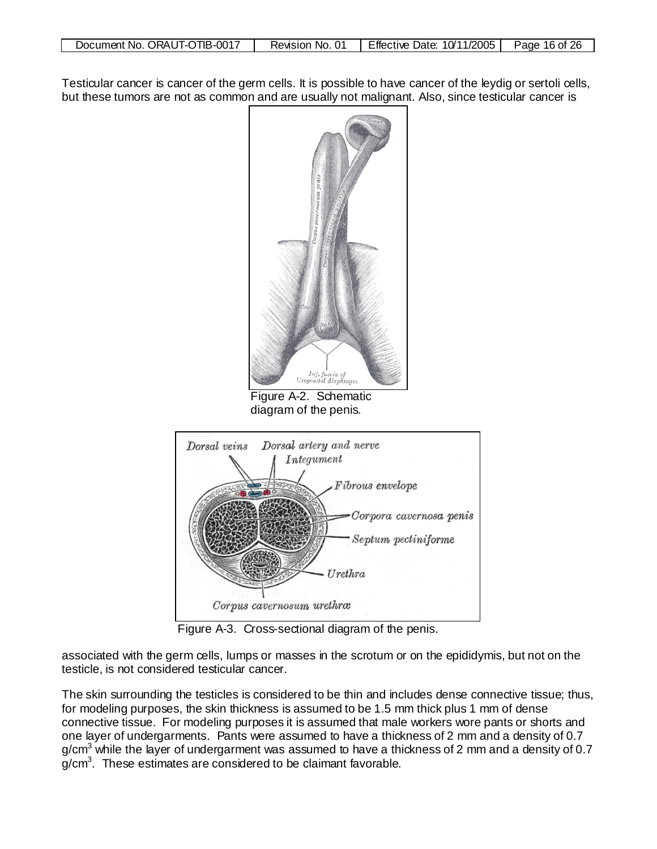| Document No. ORAUT-OTIB-0017 | Revision No. 01 | Effective Date: 10/11/2005 | Page 16 of 26 |
|------------------------------|-----------------|----------------------------|---------------|
|                              |                 |                            |               |
|                              |                 |                            |               |

Testicular cancer is cancer of the germ cells. It is possible to have cancer of the leydig or sertoli cells, but these tumors are not as common and are usually not malignant. Also, since testicular cancer is



Figure A-2. Schematic diagram of the penis.



Figure A-3. Cross-sectional diagram of the penis.

associated with the germ cells, lumps or masses in the scrotum or on the epididymis, but not on the testicle, is not considered testicular cancer.

The skin surrounding the testicles is considered to be thin and includes dense connective tissue; thus, for modeling purposes, the skin thickness is assumed to be 1.5 mm thick plus 1 mm of dense connective tissue. For modeling purposes it is assumed that male workers wore pants or shorts and one layer of undergarments. Pants were assumed to have a thickness of 2 mm and a density of 0.7  $g/cm<sup>3</sup>$  while the layer of undergarment was assumed to have a thickness of 2 mm and a density of 0.7 g/cm<sup>3</sup>. These estimates are considered to be claimant favorable.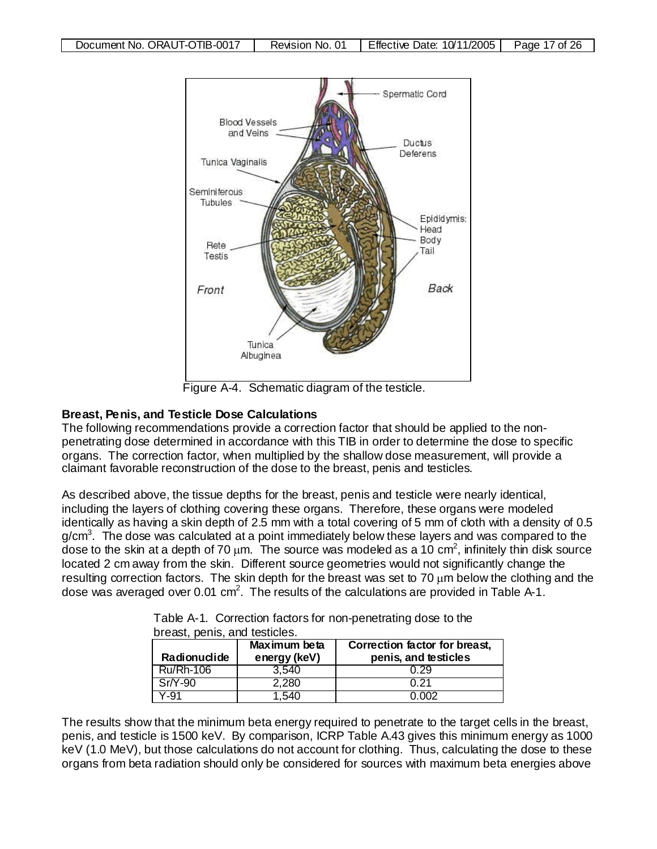

Figure A-4. Schematic diagram of the testicle.

#### **Breast, Penis, and Testicle Dose Calculations**

The following recommendations provide a correction factor that should be applied to the nonpenetrating dose determined in accordance with this TIB in order to determine the dose to specific organs. The correction factor, when multiplied by the shallow dose measurement, will provide a claimant favorable reconstruction of the dose to the breast, penis and testicles.

As described above, the tissue depths for the breast, penis and testicle were nearly identical, including the layers of clothing covering these organs. Therefore, these organs were modeled identically as having a skin depth of 2.5 mm with a total covering of 5 mm of cloth with a density of 0.5 g/cm<sup>3</sup>. The dose was calculated at a point immediately below these layers and was compared to the dose to the skin at a depth of 70  $\mu$ m. The source was modeled as a 10 cm<sup>2</sup>, infinitely thin disk source located 2 cm away from the skin. Different source geometries would not significantly change the resulting correction factors. The skin depth for the breast was set to 70  $\mu$ m below the clothing and the dose was averaged over 0.01 cm<sup>2</sup>. The results of the calculations are provided in Table A-1.

| Radionuclide | Maximum beta<br>energy (keV) | Correction factor for breast,<br>penis, and testicles |
|--------------|------------------------------|-------------------------------------------------------|
| Ru/Rh-106    | 3.540                        | 0.29                                                  |
| $Sr/Y-90$    | 2.280                        | በ 21                                                  |
| Y-91         | . 540                        | በ በበጋ                                                 |

| Table A-1. Correction factors for non-penetrating dose to the |
|---------------------------------------------------------------|
| breast, penis, and testicles.                                 |

The results show that the minimum beta energy required to penetrate to the target cells in the breast, penis, and testicle is 1500 keV. By comparison, ICRP Table A.43 gives this minimum energy as 1000 keV (1.0 MeV), but those calculations do not account for clothing. Thus, calculating the dose to these organs from beta radiation should only be considered for sources with maximum beta energies above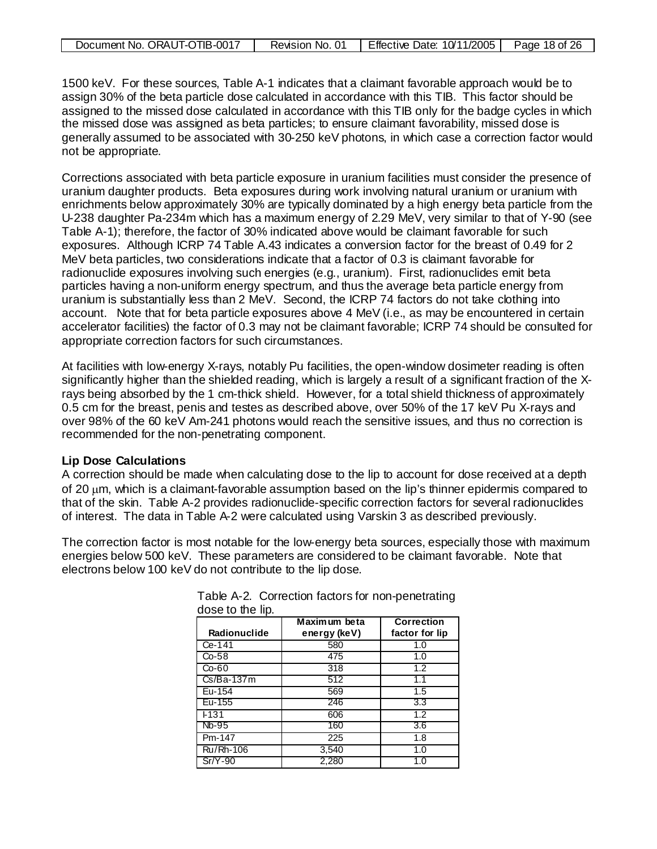| Document No. ORAUT-OTIB-0017 | Revision No. | Effective Date: 10/11/2005 | Page 18 of 26 |
|------------------------------|--------------|----------------------------|---------------|
|------------------------------|--------------|----------------------------|---------------|

1500 keV. For these sources, Table A-1 indicates that a claimant favorable approach would be to assign 30% of the beta particle dose calculated in accordance with this TIB. This factor should be assigned to the missed dose calculated in accordance with this TIB only for the badge cycles in which the missed dose was assigned as beta particles; to ensure claimant favorability, missed dose is generally assumed to be associated with 30-250 keV photons, in which case a correction factor would not be appropriate.

Corrections associated with beta particle exposure in uranium facilities must consider the presence of uranium daughter products. Beta exposures during work involving natural uranium or uranium with enrichments below approximately 30% are typically dominated by a high energy beta particle from the U-238 daughter Pa-234m which has a maximum energy of 2.29 MeV, very similar to that of Y-90 (see Table A-1); therefore, the factor of 30% indicated above would be claimant favorable for such exposures. Although ICRP 74 Table A.43 indicates a conversion factor for the breast of 0.49 for 2 MeV beta particles, two considerations indicate that a factor of 0.3 is claimant favorable for radionuclide exposures involving such energies (e.g., uranium). First, radionuclides emit beta particles having a non-uniform energy spectrum, and thus the average beta particle energy from uranium is substantially less than 2 MeV. Second, the ICRP 74 factors do not take clothing into account. Note that for beta particle exposures above 4 MeV (i.e., as may be encountered in certain accelerator facilities) the factor of 0.3 may not be claimant favorable; ICRP 74 should be consulted for appropriate correction factors for such circumstances.

At facilities with low-energy X-rays, notably Pu facilities, the open-window dosimeter reading is often significantly higher than the shielded reading, which is largely a result of a significant fraction of the Xrays being absorbed by the 1 cm-thick shield. However, for a total shield thickness of approximately 0.5 cm for the breast, penis and testes as described above, over 50% of the 17 keV Pu X-rays and over 98% of the 60 keV Am-241 photons would reach the sensitive issues, and thus no correction is recommended for the non-penetrating component.

#### **Lip Dose Calculations**

A correction should be made when calculating dose to the lip to account for dose received at a depth of 20 µm, which is a claimant-favorable assumption based on the lip's thinner epidermis compared to that of the skin. Table A-2 provides radionuclide-specific correction factors for several radionuclides of interest. The data in Table A-2 were calculated using Varskin 3 as described previously.

The correction factor is most notable for the low-energy beta sources, especially those with maximum energies below 500 keV. These parameters are considered to be claimant favorable. Note that electrons below 100 keV do not contribute to the lip dose.

| <b>Radionuclide</b> | Maximum beta<br>energy (keV) | <b>Correction</b><br>factor for lip |
|---------------------|------------------------------|-------------------------------------|
| Ce-141              | 580                          | 1.0                                 |
| $Co-58$             | 475                          | 1.0                                 |
| $Co-60$             | 318                          | 1.2                                 |
| $Cs/Ba-137m$        | 512                          | 1.1                                 |
| Eu-154              | 569                          | 1.5                                 |
| Eu-155              | 246                          | 3.3                                 |
| F131                | 606                          | $\overline{1.2}$                    |
| Nb-95               | 160                          | 3.6                                 |
| Pm-147              | 225                          | 1.8                                 |
| Ru/Rh-106           | 3,540                        | 1.0                                 |
| $Sr/Y-90$           | 2,280                        | 1.U                                 |

Table A-2. Correction factors for non-penetrating dose to the lip.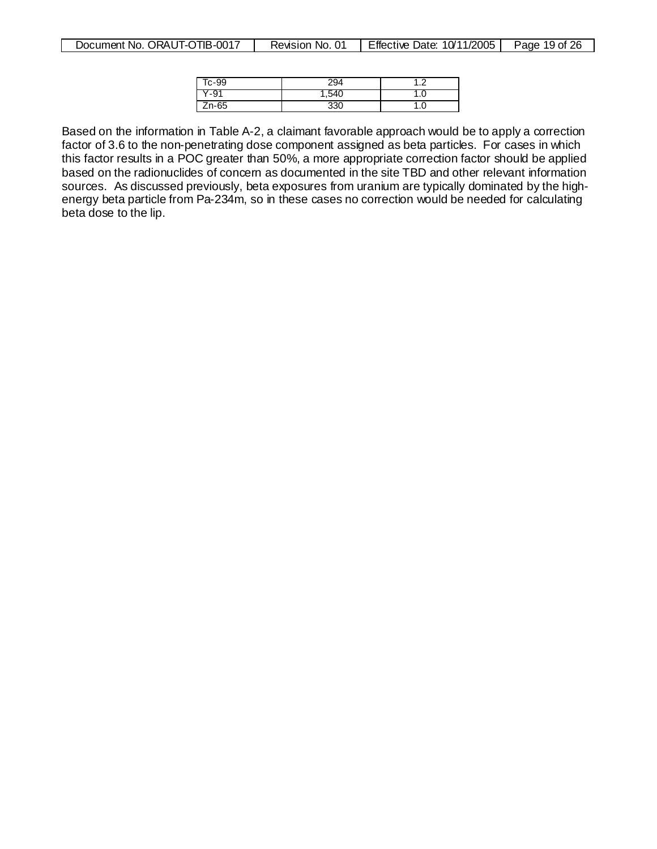| $r_{\rm C}$ -99 | 294  |     |
|-----------------|------|-----|
| ' -⊌∵           | .540 | ن ، |
| Zn-65           | 330  | ن ، |

Based on the information in Table A-2, a claimant favorable approach would be to apply a correction factor of 3.6 to the non-penetrating dose component assigned as beta particles. For cases in which this factor results in a POC greater than 50%, a more appropriate correction factor should be applied based on the radionuclides of concern as documented in the site TBD and other relevant information sources. As discussed previously, beta exposures from uranium are typically dominated by the highenergy beta particle from Pa-234m, so in these cases no correction would be needed for calculating beta dose to the lip.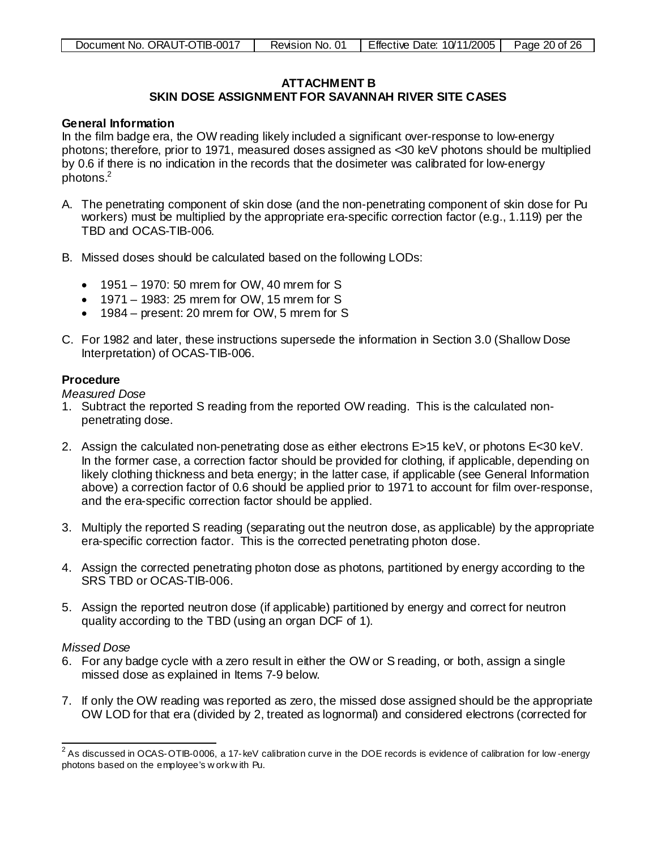# <span id="page-19-0"></span>**ATTACHMENT B**

# **SKIN DOSE ASSIGNMENT FOR SAVANNAH RIVER SITE CASES**

#### **General Information**

In the film badge era, the OW reading likely included a significant over-response to low-energy photons; therefore, prior to 1971, measured doses assigned as <30 keV photons should be multiplied by 0.6 if there is no indication in the records that the dosimeter was calibrated for low-energy photons[.2](#page-19-1)

- A. The penetrating component of skin dose (and the non-penetrating component of skin dose for Pu workers) must be multiplied by the appropriate era-specific correction factor (e.g., 1.119) per the TBD and OCAS-TIB-006.
- B. Missed doses should be calculated based on the following LODs:
	- 1951 1970: 50 mrem for OW, 40 mrem for S
	- 1971 1983: 25 mrem for OW, 15 mrem for S
	- 1984 present: 20 mrem for OW, 5 mrem for S
- C. For 1982 and later, these instructions supersede the information in Section 3.0 (Shallow Dose Interpretation) of OCAS-TIB-006.

#### **Procedure**

*Measured Dose*

- 1. Subtract the reported S reading from the reported OW reading. This is the calculated nonpenetrating dose.
- 2. Assign the calculated non-penetrating dose as either electrons E>15 keV, or photons E<30 keV. In the former case, a correction factor should be provided for clothing, if applicable, depending on likely clothing thickness and beta energy; in the latter case, if applicable (see General Information above) a correction factor of 0.6 should be applied prior to 1971 to account for film over-response, and the era-specific correction factor should be applied.
- 3. Multiply the reported S reading (separating out the neutron dose, as applicable) by the appropriate era-specific correction factor. This is the corrected penetrating photon dose.
- 4. Assign the corrected penetrating photon dose as photons, partitioned by energy according to the SRS TBD or OCAS-TIB-006.
- 5. Assign the reported neutron dose (if applicable) partitioned by energy and correct for neutron quality according to the TBD (using an organ DCF of 1).

#### *Missed Dose*

- 6. For any badge cycle with a zero result in either the OW or S reading, or both, assign a single missed dose as explained in Items 7-9 below.
- 7. If only the OW reading was reported as zero, the missed dose assigned should be the appropriate OW LOD for that era (divided by 2, treated as lognormal) and considered electrons (corrected for

<span id="page-19-1"></span> $\frac{2}{3}$ As discussed in OCAS-OTIB-0006, a 17-keV calibration curve in the DOE records is evidence of calibration for low -energy photons based on the employee's w ork w ith Pu.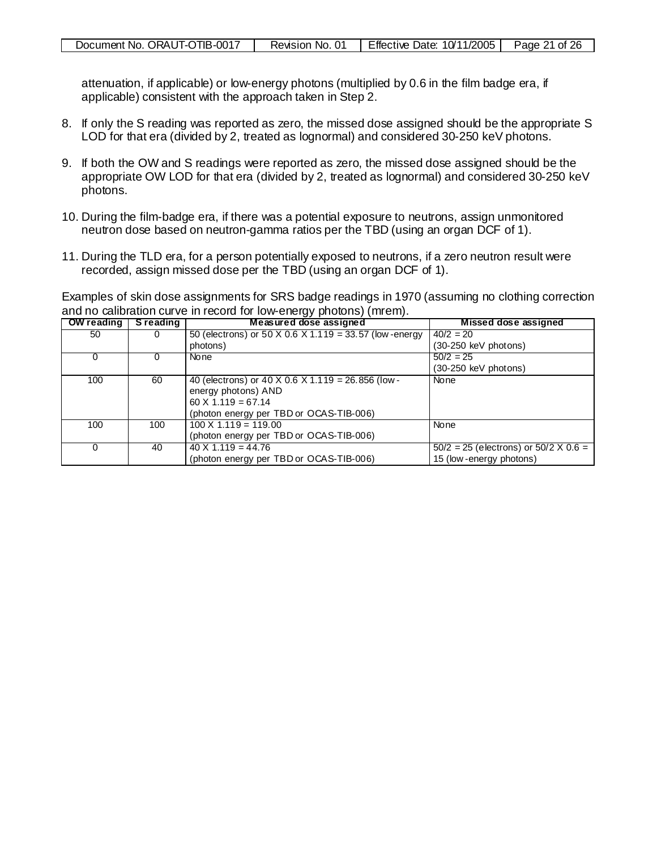attenuation, if applicable) or low-energy photons (multiplied by 0.6 in the film badge era, if applicable) consistent with the approach taken in Step 2.

- 8. If only the S reading was reported as zero, the missed dose assigned should be the appropriate S LOD for that era (divided by 2, treated as lognormal) and considered 30-250 keV photons.
- 9. If both the OW and S readings were reported as zero, the missed dose assigned should be the appropriate OW LOD for that era (divided by 2, treated as lognormal) and considered 30-250 keV photons.
- 10. During the film-badge era, if there was a potential exposure to neutrons, assign unmonitored neutron dose based on neutron-gamma ratios per the TBD (using an organ DCF of 1).
- 11. During the TLD era, for a person potentially exposed to neutrons, if a zero neutron result were recorded, assign missed dose per the TBD (using an organ DCF of 1).

Examples of skin dose assignments for SRS badge readings in 1970 (assuming no clothing correction and no calibration curve in record for low-energy photons) (mrem).

| OW reading | <b>S</b> reading | Measured dose assigned                                 | Missed dose assigned                           |
|------------|------------------|--------------------------------------------------------|------------------------------------------------|
| 50         |                  | 50 (electrons) or 50 X 0.6 X 1.119 = 33.57 (low-energy | $40/2 = 20$                                    |
|            |                  | photons)                                               | (30-250 keV photons)                           |
|            |                  | None                                                   | $50/2 = 25$                                    |
|            |                  |                                                        | $(30-250 \text{ keV photons})$                 |
| 100        | 60               | 40 (electrons) or 40 X 0.6 X 1.119 = 26.856 (low -     | None                                           |
|            |                  | energy photons) AND                                    |                                                |
|            |                  | $60 \times 1.119 = 67.14$                              |                                                |
|            |                  | (photon energy per TBD or OCAS-TIB-006)                |                                                |
| 100        | 100              | $100 \times 1.119 = 119.00$                            | None                                           |
|            |                  | (photon energy per TBD or OCAS-TIB-006)                |                                                |
|            | 40               | $40 \times 1.119 = 44.76$                              | $50/2 = 25$ (electrons) or $50/2 \times 0.6 =$ |
|            |                  | (photon energy per TBD or OCAS-TIB-006)                | 15 (low-energy photons)                        |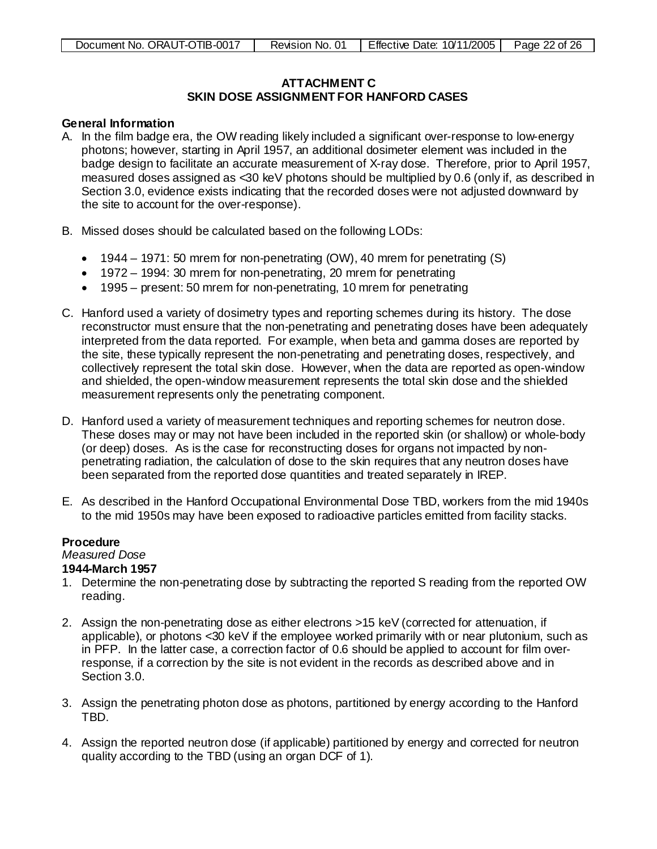# <span id="page-21-0"></span>**ATTACHMENT C SKIN DOSE ASSIGNMENT FOR HANFORD CASES**

#### **General Information**

- A. In the film badge era, the OW reading likely included a significant over-response to low-energy photons; however, starting in April 1957, an additional dosimeter element was included in the badge design to facilitate an accurate measurement of X-ray dose. Therefore, prior to April 1957, measured doses assigned as <30 keV photons should be multiplied by 0.6 (only if, as described in Section 3.0, evidence exists indicating that the recorded doses were not adjusted downward by the site to account for the over-response).
- B. Missed doses should be calculated based on the following LODs:
	- 1944 1971: 50 mrem for non-penetrating (OW), 40 mrem for penetrating (S)
	- 1972 1994: 30 mrem for non-penetrating, 20 mrem for penetrating
	- 1995 present: 50 mrem for non-penetrating, 10 mrem for penetrating
- C. Hanford used a variety of dosimetry types and reporting schemes during its history. The dose reconstructor must ensure that the non-penetrating and penetrating doses have been adequately interpreted from the data reported. For example, when beta and gamma doses are reported by the site, these typically represent the non-penetrating and penetrating doses, respectively, and collectively represent the total skin dose. However, when the data are reported as open-window and shielded, the open-window measurement represents the total skin dose and the shielded measurement represents only the penetrating component.
- D. Hanford used a variety of measurement techniques and reporting schemes for neutron dose. These doses may or may not have been included in the reported skin (or shallow) or whole-body (or deep) doses. As is the case for reconstructing doses for organs not impacted by nonpenetrating radiation, the calculation of dose to the skin requires that any neutron doses have been separated from the reported dose quantities and treated separately in IREP.
- E. As described in the Hanford Occupational Environmental Dose TBD, workers from the mid 1940s to the mid 1950s may have been exposed to radioactive particles emitted from facility stacks.

## **Procedure**

*Measured Dose*

## **1944-March 1957**

- 1. Determine the non-penetrating dose by subtracting the reported S reading from the reported OW reading.
- 2. Assign the non-penetrating dose as either electrons >15 keV (corrected for attenuation, if applicable), or photons <30 keV if the employee worked primarily with or near plutonium, such as in PFP. In the latter case, a correction factor of 0.6 should be applied to account for film overresponse, if a correction by the site is not evident in the records as described above and in Section 3.0.
- 3. Assign the penetrating photon dose as photons, partitioned by energy according to the Hanford TBD.
- 4. Assign the reported neutron dose (if applicable) partitioned by energy and corrected for neutron quality according to the TBD (using an organ DCF of 1).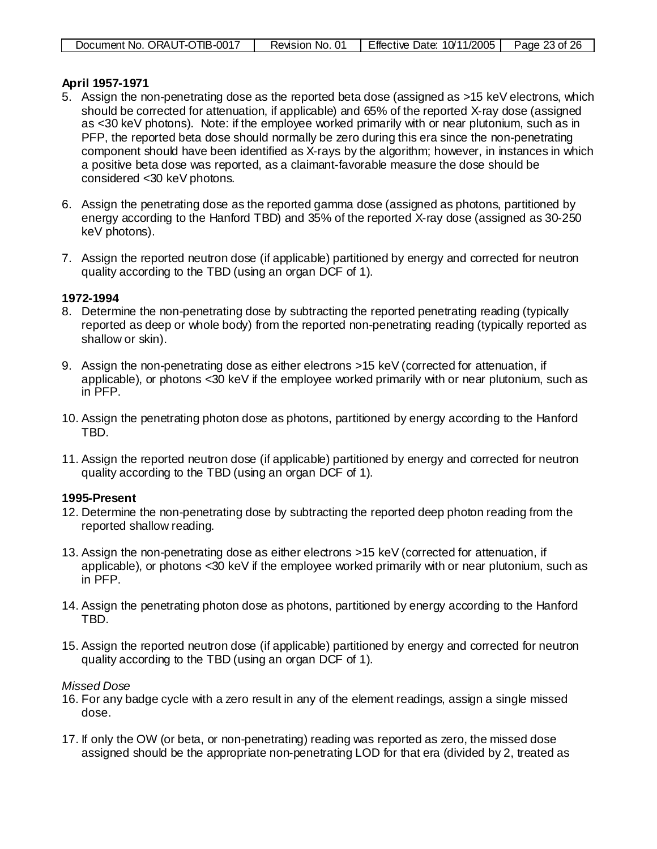|--|

#### **April 1957-1971**

- 5. Assign the non-penetrating dose as the reported beta dose (assigned as >15 keV electrons, which should be corrected for attenuation, if applicable) and 65% of the reported X-ray dose (assigned as <30 keV photons). Note: if the employee worked primarily with or near plutonium, such as in PFP, the reported beta dose should normally be zero during this era since the non-penetrating component should have been identified as X-rays by the algorithm; however, in instances in which a positive beta dose was reported, as a claimant-favorable measure the dose should be considered <30 keV photons.
- 6. Assign the penetrating dose as the reported gamma dose (assigned as photons, partitioned by energy according to the Hanford TBD) and 35% of the reported X-ray dose (assigned as 30-250 keV photons).
- 7. Assign the reported neutron dose (if applicable) partitioned by energy and corrected for neutron quality according to the TBD (using an organ DCF of 1).

#### **1972-1994**

- 8. Determine the non-penetrating dose by subtracting the reported penetrating reading (typically reported as deep or whole body) from the reported non-penetrating reading (typically reported as shallow or skin).
- 9. Assign the non-penetrating dose as either electrons >15 keV (corrected for attenuation, if applicable), or photons <30 keV if the employee worked primarily with or near plutonium, such as in PFP.
- 10. Assign the penetrating photon dose as photons, partitioned by energy according to the Hanford TBD.
- 11. Assign the reported neutron dose (if applicable) partitioned by energy and corrected for neutron quality according to the TBD (using an organ DCF of 1).

## **1995-Present**

- 12. Determine the non-penetrating dose by subtracting the reported deep photon reading from the reported shallow reading.
- 13. Assign the non-penetrating dose as either electrons >15 keV (corrected for attenuation, if applicable), or photons <30 keV if the employee worked primarily with or near plutonium, such as in PFP.
- 14. Assign the penetrating photon dose as photons, partitioned by energy according to the Hanford TBD.
- 15. Assign the reported neutron dose (if applicable) partitioned by energy and corrected for neutron quality according to the TBD (using an organ DCF of 1).

#### *Missed Dose*

- 16. For any badge cycle with a zero result in any of the element readings, assign a single missed dose.
- 17. If only the OW (or beta, or non-penetrating) reading was reported as zero, the missed dose assigned should be the appropriate non-penetrating LOD for that era (divided by 2, treated as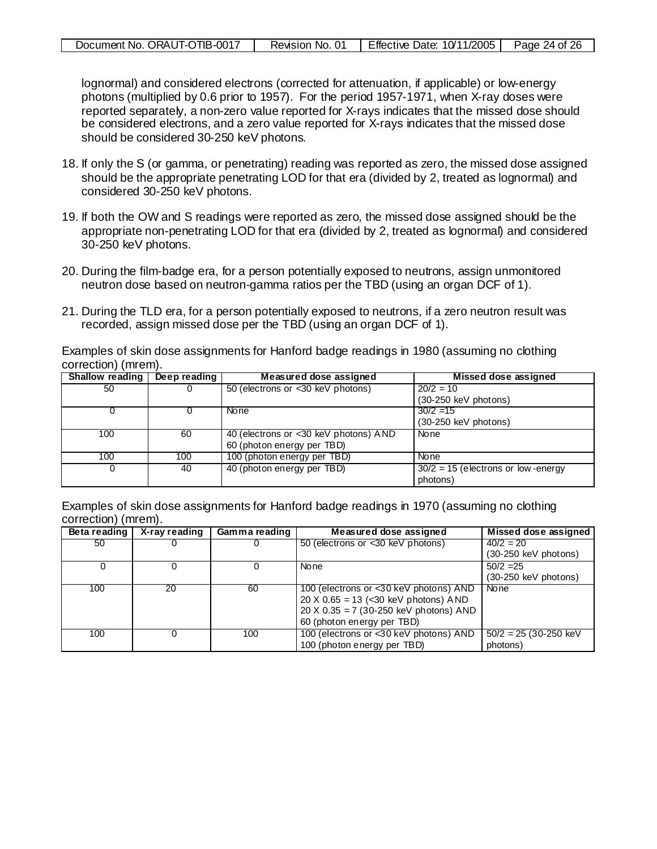| Document No. ORAUT-OTIB-0017 | Revision No. 01 | Effective Date: 10/11/2005 | Page 24 of 26 |
|------------------------------|-----------------|----------------------------|---------------|
|                              |                 |                            |               |

lognormal) and considered electrons (corrected for attenuation, if applicable) or low-energy photons (multiplied by 0.6 prior to 1957). For the period 1957-1971, when X-ray doses were reported separately, a non-zero value reported for X-rays indicates that the missed dose should be considered electrons, and a zero value reported for X-rays indicates that the missed dose should be considered 30-250 keV photons.

- 18. If only the S (or gamma, or penetrating) reading was reported as zero, the missed dose assigned should be the appropriate penetrating LOD for that era (divided by 2, treated as lognormal) and considered 30-250 keV photons.
- 19. If both the OW and S readings were reported as zero, the missed dose assigned should be the appropriate non-penetrating LOD for that era (divided by 2, treated as lognormal) and considered 30-250 keV photons.
- 20. During the film-badge era, for a person potentially exposed to neutrons, assign unmonitored neutron dose based on neutron-gamma ratios per the TBD (using an organ DCF of 1).
- 21. During the TLD era, for a person potentially exposed to neutrons, if a zero neutron result was recorded, assign missed dose per the TBD (using an organ DCF of 1).

Examples of skin dose assignments for Hanford badge readings in 1980 (assuming no clothing correction) (mrem).

| <b>Shallow reading</b> | Deep reading | Measured dose assigned                | Missed dose assigned                 |
|------------------------|--------------|---------------------------------------|--------------------------------------|
| 50                     |              | 50 (electrons or <30 keV photons)     | $20/2 = 10$                          |
|                        |              |                                       | $(30-250 \text{ keV photons})$       |
|                        |              | None                                  | $30/2 = 15$                          |
|                        |              |                                       | $(30-250 \text{ keV photons})$       |
| 100                    | 60           | 40 (electrons or <30 keV photons) AND | None                                 |
|                        |              | 60 (photon energy per TBD)            |                                      |
| 100                    | 100          | 100 (photon energy per TBD)           | None                                 |
|                        | 40           | 40 (photon energy per TBD)            | $30/2 = 15$ (electrons or low-energy |
|                        |              |                                       | photons)                             |

Examples of skin dose assignments for Hanford badge readings in 1970 (assuming no clothing correction) (mrem).

| Beta reading | X-ray reading | Gamma reading | Measured dose assigned                 | Missed dose assigned           |
|--------------|---------------|---------------|----------------------------------------|--------------------------------|
| 50           |               |               | 50 (electrons or <30 keV photons)      | $\sqrt{40/2}$ = 20             |
|              |               |               |                                        | $(30-250 \text{ keV photons})$ |
|              |               |               | None                                   | $50/2 = 25$                    |
|              |               |               |                                        | $(30-250 \text{ keV photons})$ |
| 100          | 20            | 60            | 100 (electrons or <30 keV photons) AND | None                           |
|              |               |               | $20 X 0.65 = 13$ (<30 keV photons) AND |                                |
|              |               |               | 20 X 0.35 = 7 (30-250 keV photons) AND |                                |
|              |               |               | 60 (photon energy per TBD)             |                                |
| 100          |               | 100           | 100 (electrons or <30 keV photons) AND | $50/2 = 25(30-250$ keV         |
|              |               |               | 100 (photon energy per TBD)            | photons)                       |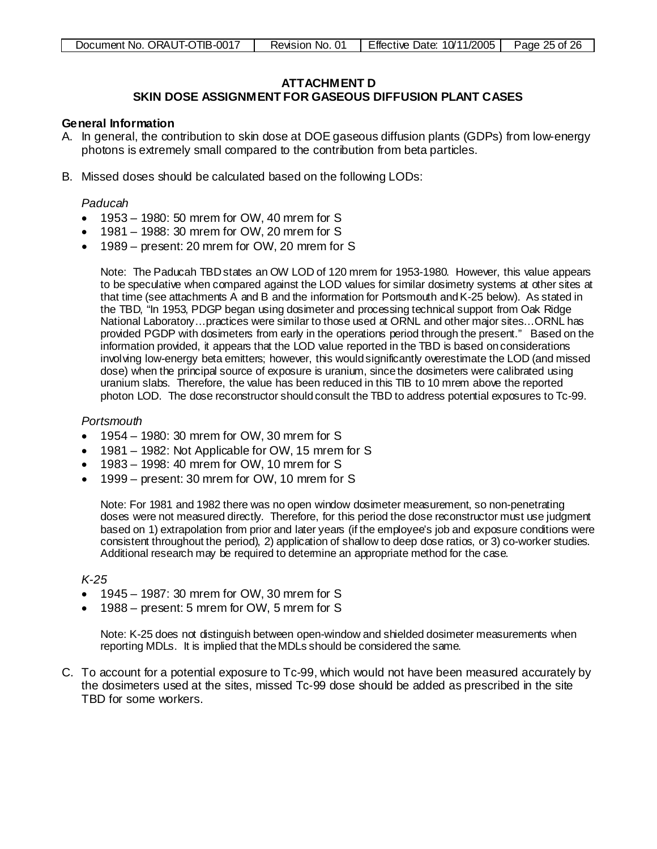# <span id="page-24-0"></span>**ATTACHMENT D**

# **SKIN DOSE ASSIGNMENT FOR GASEOUS DIFFUSION PLANT CASES**

#### **General Information**

- A. In general, the contribution to skin dose at DOE gaseous diffusion plants (GDPs) from low-energy photons is extremely small compared to the contribution from beta particles.
- B. Missed doses should be calculated based on the following LODs:

#### *Paducah*

- 1953 1980: 50 mrem for OW, 40 mrem for S
- 1981 1988: 30 mrem for OW, 20 mrem for S
- 1989 present: 20 mrem for OW, 20 mrem for S

Note: The Paducah TBD states an OW LOD of 120 mrem for 1953-1980. However, this value appears to be speculative when compared against the LOD values for similar dosimetry systems at other sites at that time (see attachments A and B and the information for Portsmouth and K-25 below). As stated in the TBD, "In 1953, PDGP began using dosimeter and processing technical support from Oak Ridge National Laboratory…practices were similar to those used at ORNL and other major sites…ORNL has provided PGDP with dosimeters from early in the operations period through the present." Based on the information provided, it appears that the LOD value reported in the TBD is based on considerations involving low-energy beta emitters; however, this would significantly overestimate the LOD (and missed dose) when the principal source of exposure is uranium, since the dosimeters were calibrated using uranium slabs. Therefore, the value has been reduced in this TIB to 10 mrem above the reported photon LOD. The dose reconstructor should consult the TBD to address potential exposures to Tc-99.

#### *Portsmouth*

- 1954 1980: 30 mrem for OW, 30 mrem for S
- 1981 1982: Not Applicable for OW, 15 mrem for S
- 1983 1998: 40 mrem for OW, 10 mrem for S
- 1999 present: 30 mrem for OW, 10 mrem for S

Note: For 1981 and 1982 there was no open window dosimeter measurement, so non-penetrating doses were not measured directly. Therefore, for this period the dose reconstructor must use judgment based on 1) extrapolation from prior and later years (if the employee's job and exposure conditions were consistent throughout the period), 2) application of shallow to deep dose ratios, or 3) co-worker studies. Additional research may be required to determine an appropriate method for the case.

#### *K-25*

- 1945 1987: 30 mrem for OW, 30 mrem for S
- 1988 present: 5 mrem for OW, 5 mrem for S

Note: K-25 does not distinguish between open-window and shielded dosimeter measurements when reporting MDLs. It is implied that the MDLs should be considered the same.

C. To account for a potential exposure to Tc-99, which would not have been measured accurately by the dosimeters used at the sites, missed Tc-99 dose should be added as prescribed in the site TBD for some workers.